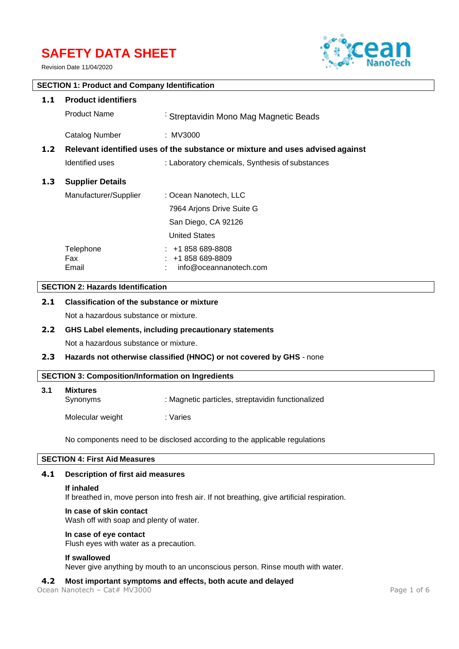# **SAFETY DATA SHEET**

Revision Date 11/04/2020



# **SECTION 1: Product and Company Identification**

| 1.1              | <b>Product identifiers</b>                                                    |                                                                  |  |  |
|------------------|-------------------------------------------------------------------------------|------------------------------------------------------------------|--|--|
|                  | <b>Product Name</b>                                                           | Streptavidin Mono Mag Magnetic Beads                             |  |  |
|                  | Catalog Number                                                                | : MV3000                                                         |  |  |
| 1.2 <sub>1</sub> | Relevant identified uses of the substance or mixture and uses advised against |                                                                  |  |  |
|                  | Identified uses                                                               | : Laboratory chemicals, Synthesis of substances                  |  |  |
| 1.3              | <b>Supplier Details</b>                                                       |                                                                  |  |  |
|                  | Manufacturer/Supplier                                                         | : Ocean Nanotech, LLC                                            |  |  |
|                  |                                                                               | 7964 Arjons Drive Suite G                                        |  |  |
|                  |                                                                               | San Diego, CA 92126                                              |  |  |
|                  |                                                                               | <b>United States</b>                                             |  |  |
|                  | Telephone<br><b>Fax</b><br>Email                                              | $: +1858689-8808$<br>$: +1858689-8809$<br>info@oceannanotech.com |  |  |

# **SECTION 2: Hazards Identification**

# **2.1 Classification of the substance or mixture**

Not a hazardous substance or mixture.

# **2.2 GHS Label elements, including precautionary statements**

Not a hazardous substance or mixture.

# **2.3 Hazards not otherwise classified (HNOC) or not covered by GHS** - none

# **SECTION 3: Composition/Information on Ingredients**

| 3.1 | <b>Mixtures</b><br>Synonyms | : Magnetic particles, streptavidin functionalized |
|-----|-----------------------------|---------------------------------------------------|
|     | Molecular weight            | : Varies                                          |

No components need to be disclosed according to the applicable regulations

# **SECTION 4: First Aid Measures**

#### **4.1 Description of first aid measures**

#### **If inhaled**

If breathed in, move person into fresh air. If not breathing, give artificial respiration.

# **In case of skin contact**

Wash off with soap and plenty of water.

#### **In case of eye contact**

Flush eyes with water as a precaution.

#### **If swallowed**

Never give anything by mouth to an unconscious person. Rinse mouth with water.

# **4.2 Most important symptoms and effects, both acute and delayed**

Ocean Nanotech – Cat# MV3000 Page 1 of 6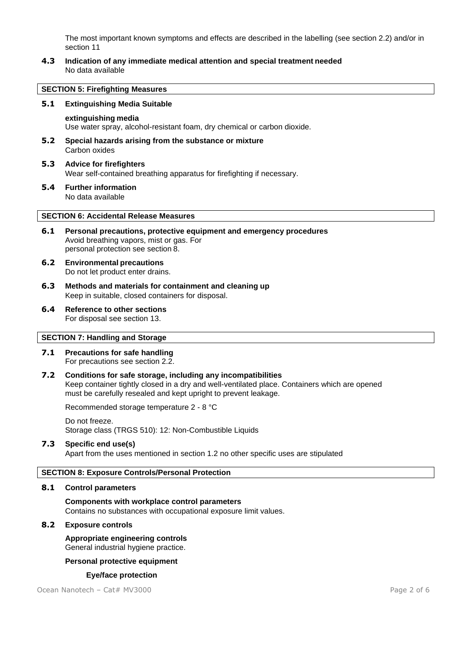The most important known symptoms and effects are described in the labelling (see section 2.2) and/or in section 11

**4.3 Indication of any immediate medical attention and special treatment needed** No data available

#### **SECTION 5: Firefighting Measures**

#### **5.1 Extinguishing Media Suitable**

#### **extinguishing media**

Use water spray, alcohol-resistant foam, dry chemical or carbon dioxide.

- **5.2 Special hazards arising from the substance or mixture** Carbon oxides
- **5.3 Advice for firefighters** Wear self-contained breathing apparatus for firefighting if necessary.
- **5.4 Further information** No data available

#### **SECTION 6: Accidental Release Measures**

- **6.1 Personal precautions, protective equipment and emergency procedures** Avoid breathing vapors, mist or gas. For personal protection see section 8.
- **6.2 Environmental precautions** Do not let product enter drains.
- **6.3 Methods and materials for containment and cleaning up** Keep in suitable, closed containers for disposal.
- **6.4 Reference to other sections** For disposal see section 13.

## **SECTION 7: Handling and Storage**

- **7.1 Precautions for safe handling** For precautions see section 2.2.
- **7.2 Conditions for safe storage, including any incompatibilities** Keep container tightly closed in a dry and well-ventilated place. Containers which are opened must be carefully resealed and kept upright to prevent leakage.

Recommended storage temperature 2 - 8 °C

Do not freeze. Storage class (TRGS 510): 12: Non-Combustible Liquids

# **7.3 Specific end use(s)**

Apart from the uses mentioned in section 1.2 no other specific uses are stipulated

# **SECTION 8: Exposure Controls/Personal Protection**

#### **8.1 Control parameters**

**Components with workplace control parameters** Contains no substances with occupational exposure limit values.

#### **8.2 Exposure controls**

**Appropriate engineering controls** General industrial hygiene practice.

#### **Personal protective equipment**

#### **Eye/face protection**

Ocean Nanotech – Cat# MV3000 Page 2 of 6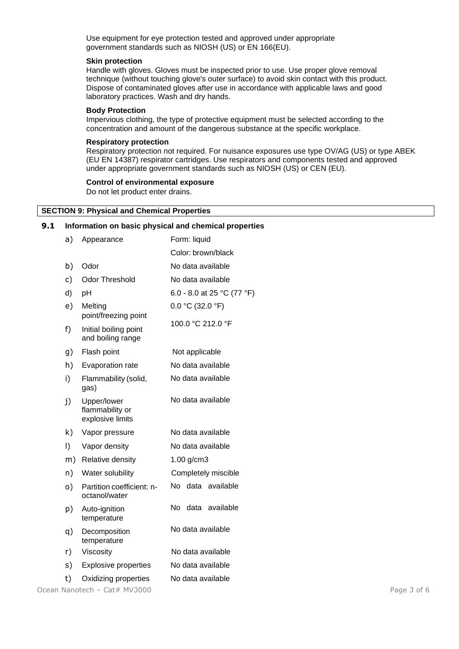Use equipment for eye protection tested and approved under appropriate government standards such as NIOSH (US) or EN 166(EU).

#### **Skin protection**

Handle with gloves. Gloves must be inspected prior to use. Use proper glove removal technique (without touching glove's outer surface) to avoid skin contact with this product. Dispose of contaminated gloves after use in accordance with applicable laws and good laboratory practices. Wash and dry hands.

#### **Body Protection**

Impervious clothing, the type of protective equipment must be selected according to the concentration and amount of the dangerous substance at the specific workplace.

#### **Respiratory protection**

Respiratory protection not required. For nuisance exposures use type OV/AG (US) or type ABEK (EU EN 14387) respirator cartridges. Use respirators and components tested and approved under appropriate government standards such as NIOSH (US) or CEN (EU).

#### **Control of environmental exposure**

Do not let product enter drains.

#### **SECTION 9: Physical and Chemical Properties**

#### **9.1 Information on basic physical and chemical properties**

| a) | Appearance                                         | Form: liquid               |
|----|----------------------------------------------------|----------------------------|
|    |                                                    | Color: brown/black         |
| b) | Odor                                               | No data available          |
| c) | <b>Odor Threshold</b>                              | No data available          |
| d) | рH                                                 | 6.0 - 8.0 at 25 °C (77 °F) |
| e) | Melting<br>point/freezing point                    | $0.0 °C$ (32.0 °F)         |
| f) | Initial boiling point<br>and boiling range         | 100.0 °C 212.0 °F          |
| g) | Flash point                                        | Not applicable             |
| h) | Evaporation rate                                   | No data available          |
| i) | Flammability (solid,<br>gas)                       | No data available          |
| j) | Upper/lower<br>flammability or<br>explosive limits | No data available          |
| k) | Vapor pressure                                     | No data available          |
| I) | Vapor density                                      | No data available          |
| m) | Relative density                                   | $1.00$ g/cm3               |
| n) | Water solubility                                   | Completely miscible        |
| o) | Partition coefficient: n-<br>octanol/water         | No data available          |
| p) | Auto-ignition<br>temperature                       | No<br>data<br>available    |
| q) | Decomposition<br>temperature                       | No data available          |
| r) | Viscosity                                          | No data available          |
| s) | <b>Explosive properties</b>                        | No data available          |
| t) | Oxidizing properties                               | No data available          |

Ocean Nanotech – Cat# MV3000 Page 3 of 6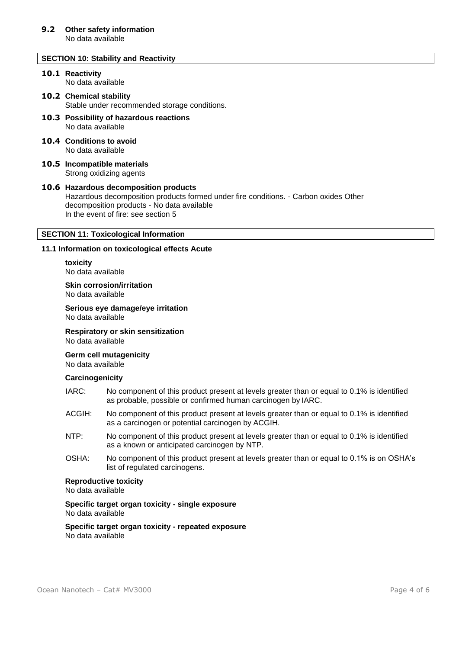# **SECTION 10: Stability and Reactivity**

#### **10.1 Reactivity** No data available

# **10.2 Chemical stability**

Stable under recommended storage conditions.

- **10.3 Possibility of hazardous reactions** No data available
- **10.4 Conditions to avoid** No data available
- **10.5 Incompatible materials** Strong oxidizing agents

# **10.6 Hazardous decomposition products** Hazardous decomposition products formed under fire conditions. - Carbon oxides Other decomposition products - No data available In the event of fire: see section 5

# **SECTION 11: Toxicological Information**

#### **11.1 Information on toxicological effects Acute**

**toxicity** No data available

**Skin corrosion/irritation** No data available

**Serious eye damage/eye irritation** No data available

**Respiratory or skin sensitization**

No data available

**Germ cell mutagenicity**

No data available

# **Carcinogenicity**

- IARC: No component of this product present at levels greater than or equal to 0.1% is identified as probable, possible or confirmed human carcinogen by IARC.
- ACGIH: No component of this product present at levels greater than or equal to 0.1% is identified as a carcinogen or potential carcinogen by ACGIH.
- NTP: No component of this product present at levels greater than or equal to 0.1% is identified as a known or anticipated carcinogen by NTP.
- OSHA: No component of this product present at levels greater than or equal to 0.1% is on OSHA's list of regulated carcinogens.

#### **Reproductive toxicity**

No data available

**Specific target organ toxicity - single exposure** No data available

**Specific target organ toxicity - repeated exposure** No data available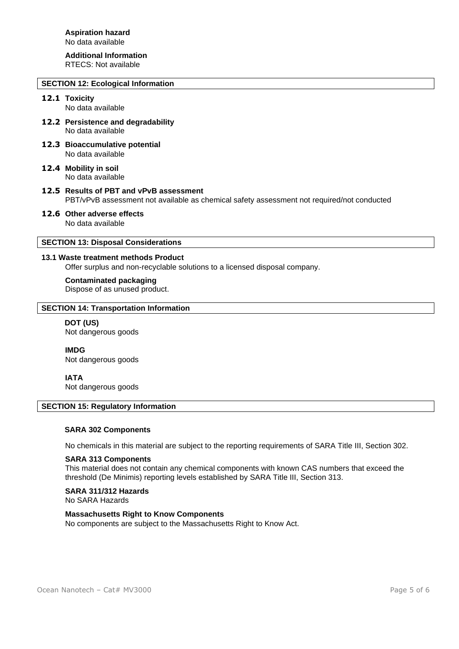# **Additional Information**

RTECS: Not available

# **SECTION 12: Ecological Information**

# **12.1 Toxicity**

No data available

- **12.2 Persistence and degradability** No data available
- **12.3 Bioaccumulative potential** No data available
- **12.4 Mobility in soil** No data available
- **12.5 Results of PBT and vPvB assessment** PBT/vPvB assessment not available as chemical safety assessment not required/not conducted
- **12.6 Other adverse effects** No data available

# **SECTION 13: Disposal Considerations**

# **13.1 Waste treatment methods Product**

Offer surplus and non-recyclable solutions to a licensed disposal company.

#### **Contaminated packaging**

Dispose of as unused product.

# **SECTION 14: Transportation Information**

# **DOT (US)** Not dangerous goods

**IMDG**

Not dangerous goods

# **IATA**

Not dangerous goods

# **SECTION 15: Regulatory Information**

# **SARA 302 Components**

No chemicals in this material are subject to the reporting requirements of SARA Title III, Section 302.

# **SARA 313 Components**

This material does not contain any chemical components with known CAS numbers that exceed the threshold (De Minimis) reporting levels established by SARA Title III, Section 313.

# **SARA 311/312 Hazards**

No SARA Hazards

# **Massachusetts Right to Know Components**

No components are subject to the Massachusetts Right to Know Act.